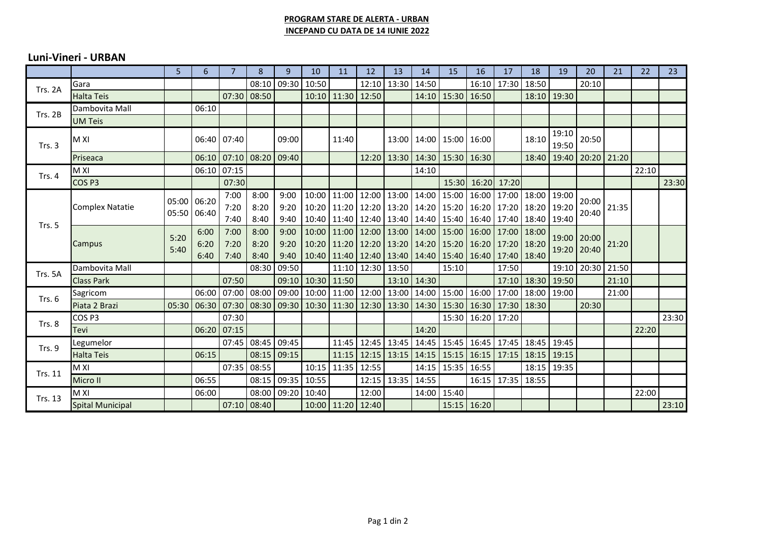## **PROGRAM STARE DE ALERTA - URBAN INCEPAND CU DATA DE 14 IUNIE 2022**

## **Luni-Vineri - URBAN**

|                   |                         | 5                          | 6     | $\overline{7}$                | 8             | $\mathbf{q}$ | 10                                                                            | 11                | 12                      | 13    | 14    | 15                                                                            | 16          | 17                | 18    | 19          | 20                | 21    | 22    | 23    |
|-------------------|-------------------------|----------------------------|-------|-------------------------------|---------------|--------------|-------------------------------------------------------------------------------|-------------------|-------------------------|-------|-------|-------------------------------------------------------------------------------|-------------|-------------------|-------|-------------|-------------------|-------|-------|-------|
| Trs. 2A           | Gara                    |                            |       |                               | 08:10         | 09:30        | 10:50                                                                         |                   | 12:10                   | 13:30 | 14:50 |                                                                               | 16:10       | 17:30             | 18:50 |             | 20:10             |       |       |       |
|                   | <b>Halta Teis</b>       |                            |       |                               | 07:30 08:50   |              |                                                                               | 10:10 11:30 12:50 |                         |       |       | 14:10   15:30   16:50                                                         |             |                   |       | 18:10 19:30 |                   |       |       |       |
| Trs. 2B           | Dambovita Mall          |                            | 06:10 |                               |               |              |                                                                               |                   |                         |       |       |                                                                               |             |                   |       |             |                   |       |       |       |
|                   | <b>UM Teis</b>          |                            |       |                               |               |              |                                                                               |                   |                         |       |       |                                                                               |             |                   |       |             |                   |       |       |       |
| Trs. 3            | M XI                    |                            |       | 06:40 07:40                   |               | 09:00        |                                                                               | 11:40             |                         | 13:00 |       | 14:00   15:00                                                                 | 16:00       |                   | 18:10 | 19:10       | 20:50             |       |       |       |
|                   |                         |                            |       |                               |               |              |                                                                               |                   |                         |       |       |                                                                               |             |                   |       | 19:50       |                   |       |       |       |
|                   | Priseaca                |                            |       | 06:10 07:10 08:20 09:40       |               |              |                                                                               |                   |                         |       |       | 12:20   13:30   14:30   15:30   16:30                                         |             |                   | 18:40 |             | 19:40 20:20 21:20 |       |       |       |
| Trs. $4$          | M XI                    |                            |       | 06:10 07:15                   |               |              |                                                                               |                   |                         |       | 14:10 |                                                                               |             |                   |       |             |                   |       | 22:10 |       |
|                   | COS <sub>P3</sub>       |                            |       | 07:30                         |               |              |                                                                               |                   |                         |       |       | 15:30                                                                         | 16:20       | 17:20             |       |             |                   |       |       | 23:30 |
| Trs. 5            | <b>Complex Natatie</b>  | 05:00 06:20<br>05:50 06:40 |       | 7:00                          | 8:00          | 9:00         |                                                                               |                   | 10:00 11:00 12:00 13:00 |       |       | 14:00   15:00   16:00   17:00   18:00                                         |             |                   |       | 19:00       | 20:00             |       |       |       |
|                   |                         |                            |       | 7:20                          | 8:20          | 9:20         |                                                                               |                   |                         |       |       | 10:20   11:20   12:20   13:20   14:20   15:20   16:20   17:20   18:20         |             |                   |       | 19:20       | 20:40             | 21:35 |       |       |
|                   |                         |                            |       | 7:40                          | 8:40          | 9:40         |                                                                               |                   |                         |       |       | 10:40   11:40   12:40   13:40   14:40   15:40   16:40   17:40   18:40   19:40 |             |                   |       |             |                   |       |       |       |
|                   | Campus                  | 5:20<br>5:40               | 6:00  | 7:00                          | 8:00          | 9:00         | 10:00                                                                         |                   | 11:00 12:00 13:00       |       |       | 14:00 15:00 16:00 17:00 18:00                                                 |             |                   |       |             | 19:00 20:00       | 21:20 |       |       |
|                   |                         |                            | 6:20  | 7:20                          | 8:20          | 9:20         |                                                                               |                   |                         |       |       | 10:20   11:20   12:20   13:20   14:20   15:20   16:20   17:20   18:20         |             |                   |       |             | 19:20 20:40       |       |       |       |
|                   |                         |                            | 6:40  | 7:40                          | 8:40          | 9:40         |                                                                               |                   |                         |       |       | 10:40   11:40   12:40   13:40   14:40   15:40   16:40   17:40   18:40         |             |                   |       |             |                   |       |       |       |
| Trs. 5A           | Dambovita Mall          |                            |       |                               | 08:30         | 09:50        |                                                                               |                   | 11:10 12:30 13:50       |       |       | 15:10                                                                         |             | 17:50             |       |             | 19:10 20:30       | 21:50 |       |       |
|                   | <b>Class Park</b>       |                            |       | 07:50                         |               | 09:10        | 10:30                                                                         | 11:50             |                         | 13:10 | 14:30 |                                                                               |             | 17:10             | 18:30 | 19:50       |                   | 21:10 |       |       |
| Trs. $6$          | Sagricom                |                            |       | 06:00 07:00                   | 08:00         |              | 09:00   10:00   11:00   12:00   13:00   14:00   15:00   16:00   17:00   18:00 |                   |                         |       |       |                                                                               |             |                   |       | 19:00       |                   | 21:00 |       |       |
|                   | Piata 2 Brazi           |                            |       | 05:30   06:30   07:30   08:30 |               |              | 09:30   10:30   11:30   12:30   13:30                                         |                   |                         |       |       | 14:30   15:30   16:30   17:30   18:30                                         |             |                   |       |             | 20:30             |       |       |       |
| Trs. 8            | COS <sub>P3</sub>       |                            |       | 07:30                         |               |              |                                                                               |                   |                         |       |       | 15:30                                                                         | 16:20 17:20 |                   |       |             |                   |       |       | 23:30 |
|                   | Tevi                    |                            |       | $06:20$ 07:15                 |               |              |                                                                               |                   |                         |       | 14:20 |                                                                               |             |                   |       |             |                   |       | 22:20 |       |
| Trs. 9<br>Trs. 11 | Legumelor               |                            |       | 07:45                         | 08:45         | 09:45        |                                                                               |                   | 11:45   12:45   13:45   |       |       | 14:45   15:45   16:45   17:45                                                 |             |                   | 18:45 | 19:45       |                   |       |       |       |
|                   | <b>Halta Teis</b>       |                            | 06:15 |                               | 08:15         | 09:15        |                                                                               |                   | 11:15 12:15 13:15       |       |       | 14:15   15:15   16:15   17:15                                                 |             |                   | 18:15 | 19:15       |                   |       |       |       |
|                   | M XI                    |                            |       |                               | 07:35 08:55   |              |                                                                               | 10:15 11:35 12:55 |                         |       |       | 14:15   15:35   16:55                                                         |             |                   |       | 18:15 19:35 |                   |       |       |       |
|                   | Micro II                |                            | 06:55 |                               | 08:15         | 09:35        | 10:55                                                                         |                   | 12:15                   | 13:35 | 14:55 |                                                                               |             | 16:15 17:35 18:55 |       |             |                   |       |       |       |
| <b>Trs. 13</b>    | M XI                    |                            | 06:00 |                               | 08:00         | 09:20 10:40  |                                                                               |                   | 12:00                   |       |       | 14:00 15:40                                                                   |             |                   |       |             |                   |       | 22:00 |       |
|                   | <b>Spital Municipal</b> |                            |       |                               | $07:10$ 08:40 |              |                                                                               | 10:00 11:20 12:40 |                         |       |       |                                                                               | 15:15 16:20 |                   |       |             |                   |       |       | 23:10 |